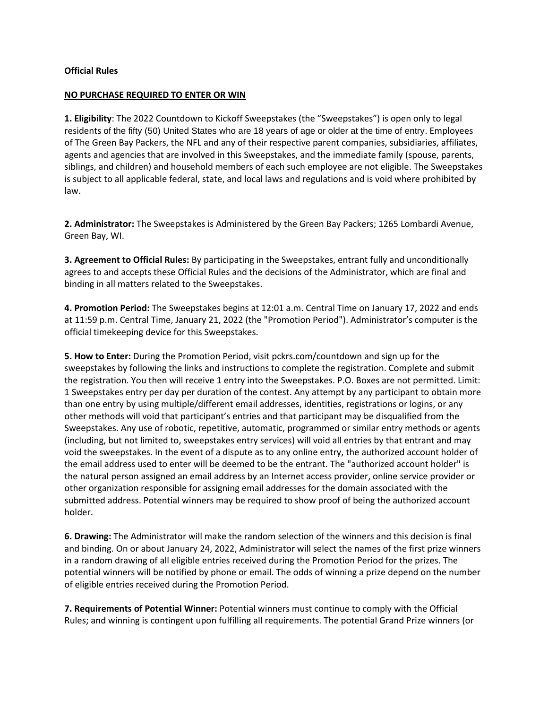## **Official Rules**

## **NO PURCHASE REQUIRED TO ENTER OR WIN**

**1. Eligibility**: The 2022 Countdown to Kickoff Sweepstakes (the "Sweepstakes") is open only to legal residents of the fifty (50) United States who are 18 years of age or older at the time of entry. Employees of The Green Bay Packers, the NFL and any of their respective parent companies, subsidiaries, affiliates, agents and agencies that are involved in this Sweepstakes, and the immediate family (spouse, parents, siblings, and children) and household members of each such employee are not eligible. The Sweepstakes is subject to all applicable federal, state, and local laws and regulations and is void where prohibited by law.

**2. Administrator:** The Sweepstakes is Administered by the Green Bay Packers; 1265 Lombardi Avenue, Green Bay, WI.

**3. Agreement to Official Rules:** By participating in the Sweepstakes, entrant fully and unconditionally agrees to and accepts these Official Rules and the decisions of the Administrator, which are final and binding in all matters related to the Sweepstakes.

**4. Promotion Period:** The Sweepstakes begins at 12:01 a.m. Central Time on January 17, 2022 and ends at 11:59 p.m. Central Time, January 21, 2022 (the "Promotion Period"). Administrator's computer is the official timekeeping device for this Sweepstakes.

**5. How to Enter:** During the Promotion Period, visit pckrs.com/countdown and sign up for the sweepstakes by following the links and instructions to complete the registration. Complete and submit the registration. You then will receive 1 entry into the Sweepstakes. P.O. Boxes are not permitted. Limit: 1 Sweepstakes entry per day per duration of the contest. Any attempt by any participant to obtain more than one entry by using multiple/different email addresses, identities, registrations or logins, or any other methods will void that participant's entries and that participant may be disqualified from the Sweepstakes. Any use of robotic, repetitive, automatic, programmed or similar entry methods or agents (including, but not limited to, sweepstakes entry services) will void all entries by that entrant and may void the sweepstakes. In the event of a dispute as to any online entry, the authorized account holder of the email address used to enter will be deemed to be the entrant. The "authorized account holder" is the natural person assigned an email address by an Internet access provider, online service provider or other organization responsible for assigning email addresses for the domain associated with the submitted address. Potential winners may be required to show proof of being the authorized account holder.

**6. Drawing:** The Administrator will make the random selection of the winners and this decision is final and binding. On or about January 24, 2022, Administrator will select the names of the first prize winners in a random drawing of all eligible entries received during the Promotion Period for the prizes. The potential winners will be notified by phone or email. The odds of winning a prize depend on the number of eligible entries received during the Promotion Period.

**7. Requirements of Potential Winner:** Potential winners must continue to comply with the Official Rules; and winning is contingent upon fulfilling all requirements. The potential Grand Prize winners (or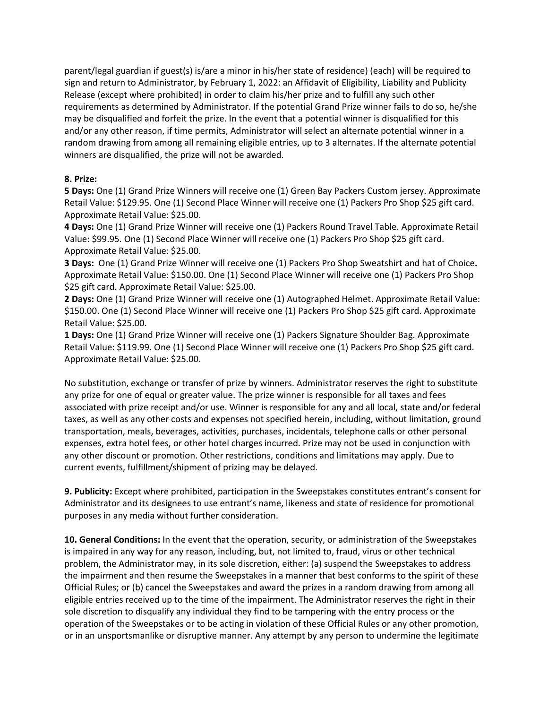parent/legal guardian if guest(s) is/are a minor in his/her state of residence) (each) will be required to sign and return to Administrator, by February 1, 2022: an Affidavit of Eligibility, Liability and Publicity Release (except where prohibited) in order to claim his/her prize and to fulfill any such other requirements as determined by Administrator. If the potential Grand Prize winner fails to do so, he/she may be disqualified and forfeit the prize. In the event that a potential winner is disqualified for this and/or any other reason, if time permits, Administrator will select an alternate potential winner in a random drawing from among all remaining eligible entries, up to 3 alternates. If the alternate potential winners are disqualified, the prize will not be awarded.

## **8. Prize:**

**5 Days:** One (1) Grand Prize Winners will receive one (1) Green Bay Packers Custom jersey. Approximate Retail Value: \$129.95. One (1) Second Place Winner will receive one (1) Packers Pro Shop \$25 gift card. Approximate Retail Value: \$25.00.

**4 Days:** One (1) Grand Prize Winner will receive one (1) Packers Round Travel Table. Approximate Retail Value: \$99.95. One (1) Second Place Winner will receive one (1) Packers Pro Shop \$25 gift card. Approximate Retail Value: \$25.00.

**3 Days:** One (1) Grand Prize Winner will receive one (1) Packers Pro Shop Sweatshirt and hat of Choice**.**  Approximate Retail Value: \$150.00. One (1) Second Place Winner will receive one (1) Packers Pro Shop \$25 gift card. Approximate Retail Value: \$25.00.

**2 Days:** One (1) Grand Prize Winner will receive one (1) Autographed Helmet. Approximate Retail Value: \$150.00. One (1) Second Place Winner will receive one (1) Packers Pro Shop \$25 gift card. Approximate Retail Value: \$25.00.

**1 Days:** One (1) Grand Prize Winner will receive one (1) Packers Signature Shoulder Bag. Approximate Retail Value: \$119.99. One (1) Second Place Winner will receive one (1) Packers Pro Shop \$25 gift card. Approximate Retail Value: \$25.00.

No substitution, exchange or transfer of prize by winners. Administrator reserves the right to substitute any prize for one of equal or greater value. The prize winner is responsible for all taxes and fees associated with prize receipt and/or use. Winner is responsible for any and all local, state and/or federal taxes, as well as any other costs and expenses not specified herein, including, without limitation, ground transportation, meals, beverages, activities, purchases, incidentals, telephone calls or other personal expenses, extra hotel fees, or other hotel charges incurred. Prize may not be used in conjunction with any other discount or promotion. Other restrictions, conditions and limitations may apply. Due to current events, fulfillment/shipment of prizing may be delayed.

**9. Publicity:** Except where prohibited, participation in the Sweepstakes constitutes entrant's consent for Administrator and its designees to use entrant's name, likeness and state of residence for promotional purposes in any media without further consideration.

**10. General Conditions:** In the event that the operation, security, or administration of the Sweepstakes is impaired in any way for any reason, including, but, not limited to, fraud, virus or other technical problem, the Administrator may, in its sole discretion, either: (a) suspend the Sweepstakes to address the impairment and then resume the Sweepstakes in a manner that best conforms to the spirit of these Official Rules; or (b) cancel the Sweepstakes and award the prizes in a random drawing from among all eligible entries received up to the time of the impairment. The Administrator reserves the right in their sole discretion to disqualify any individual they find to be tampering with the entry process or the operation of the Sweepstakes or to be acting in violation of these Official Rules or any other promotion, or in an unsportsmanlike or disruptive manner. Any attempt by any person to undermine the legitimate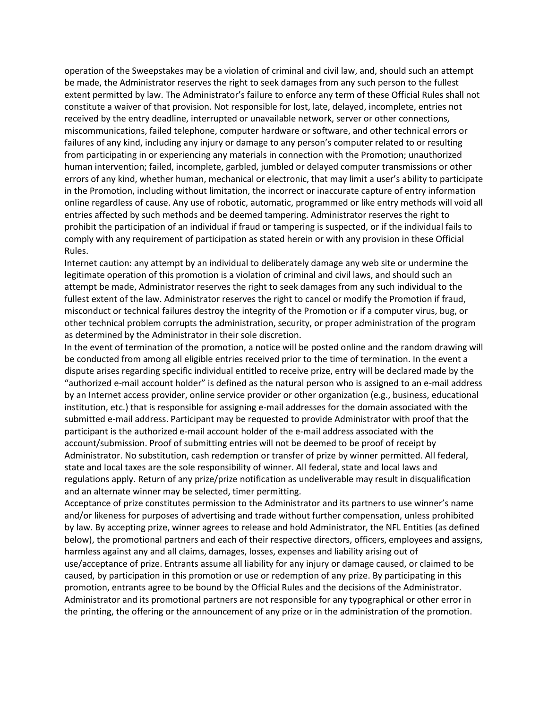operation of the Sweepstakes may be a violation of criminal and civil law, and, should such an attempt be made, the Administrator reserves the right to seek damages from any such person to the fullest extent permitted by law. The Administrator's failure to enforce any term of these Official Rules shall not constitute a waiver of that provision. Not responsible for lost, late, delayed, incomplete, entries not received by the entry deadline, interrupted or unavailable network, server or other connections, miscommunications, failed telephone, computer hardware or software, and other technical errors or failures of any kind, including any injury or damage to any person's computer related to or resulting from participating in or experiencing any materials in connection with the Promotion; unauthorized human intervention; failed, incomplete, garbled, jumbled or delayed computer transmissions or other errors of any kind, whether human, mechanical or electronic, that may limit a user's ability to participate in the Promotion, including without limitation, the incorrect or inaccurate capture of entry information online regardless of cause. Any use of robotic, automatic, programmed or like entry methods will void all entries affected by such methods and be deemed tampering. Administrator reserves the right to prohibit the participation of an individual if fraud or tampering is suspected, or if the individual fails to comply with any requirement of participation as stated herein or with any provision in these Official Rules.

Internet caution: any attempt by an individual to deliberately damage any web site or undermine the legitimate operation of this promotion is a violation of criminal and civil laws, and should such an attempt be made, Administrator reserves the right to seek damages from any such individual to the fullest extent of the law. Administrator reserves the right to cancel or modify the Promotion if fraud, misconduct or technical failures destroy the integrity of the Promotion or if a computer virus, bug, or other technical problem corrupts the administration, security, or proper administration of the program as determined by the Administrator in their sole discretion.

In the event of termination of the promotion, a notice will be posted online and the random drawing will be conducted from among all eligible entries received prior to the time of termination. In the event a dispute arises regarding specific individual entitled to receive prize, entry will be declared made by the "authorized e-mail account holder" is defined as the natural person who is assigned to an e-mail address by an Internet access provider, online service provider or other organization (e.g., business, educational institution, etc.) that is responsible for assigning e-mail addresses for the domain associated with the submitted e-mail address. Participant may be requested to provide Administrator with proof that the participant is the authorized e-mail account holder of the e-mail address associated with the account/submission. Proof of submitting entries will not be deemed to be proof of receipt by Administrator. No substitution, cash redemption or transfer of prize by winner permitted. All federal, state and local taxes are the sole responsibility of winner. All federal, state and local laws and regulations apply. Return of any prize/prize notification as undeliverable may result in disqualification and an alternate winner may be selected, timer permitting.

Acceptance of prize constitutes permission to the Administrator and its partners to use winner's name and/or likeness for purposes of advertising and trade without further compensation, unless prohibited by law. By accepting prize, winner agrees to release and hold Administrator, the NFL Entities (as defined below), the promotional partners and each of their respective directors, officers, employees and assigns, harmless against any and all claims, damages, losses, expenses and liability arising out of use/acceptance of prize. Entrants assume all liability for any injury or damage caused, or claimed to be caused, by participation in this promotion or use or redemption of any prize. By participating in this promotion, entrants agree to be bound by the Official Rules and the decisions of the Administrator. Administrator and its promotional partners are not responsible for any typographical or other error in the printing, the offering or the announcement of any prize or in the administration of the promotion.